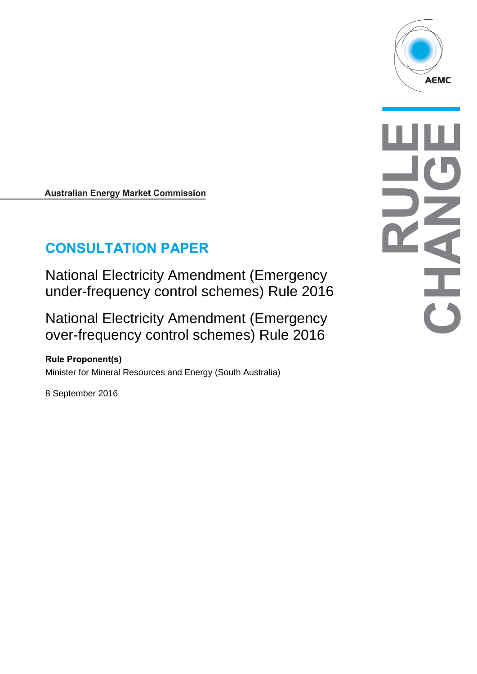**Australian Energy Market Commission** 

# **CONSULTATION PAPER**

National Electricity Amendment (Emergency under-frequency control schemes) Rule 2016

National Electricity Amendment (Emergency over-frequency control schemes) Rule 2016

**Rule Proponent(s)** Minister for Mineral Resources and Energy (South Australia)

8 September 2016

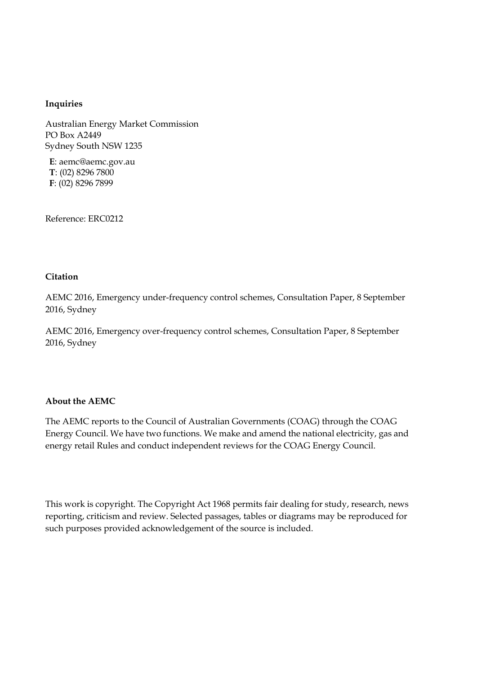#### **Inquiries**

Australian Energy Market Commission PO Box A2449 Sydney South NSW 1235

**E**: aemc@aemc.gov.au **T**: (02) 8296 7800 **F**: (02) 8296 7899

Reference: ERC0212

#### **Citation**

AEMC 2016, Emergency under-frequency control schemes, Consultation Paper, 8 September 2016, Sydney

AEMC 2016, Emergency over-frequency control schemes, Consultation Paper, 8 September 2016, Sydney

#### **About the AEMC**

The AEMC reports to the Council of Australian Governments (COAG) through the COAG Energy Council. We have two functions. We make and amend the national electricity, gas and energy retail Rules and conduct independent reviews for the COAG Energy Council.

This work is copyright. The Copyright Act 1968 permits fair dealing for study, research, news reporting, criticism and review. Selected passages, tables or diagrams may be reproduced for such purposes provided acknowledgement of the source is included.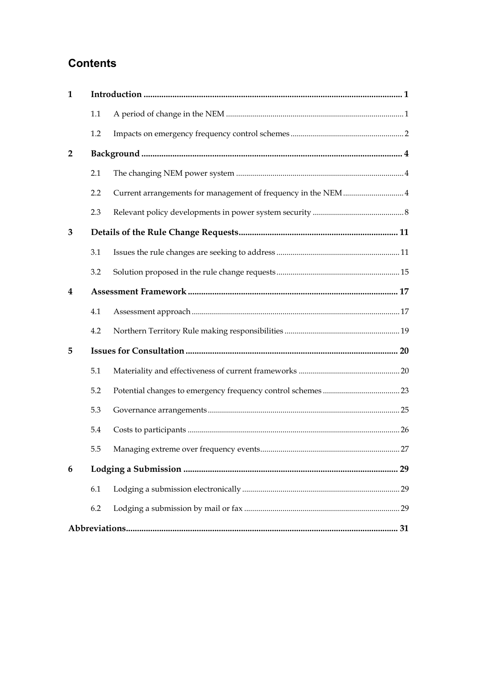# **Contents**

| 1              |     |                                                               |  |  |  |
|----------------|-----|---------------------------------------------------------------|--|--|--|
|                | 1.1 |                                                               |  |  |  |
|                | 1.2 |                                                               |  |  |  |
| $\overline{2}$ |     |                                                               |  |  |  |
|                | 2.1 |                                                               |  |  |  |
|                | 2.2 | Current arrangements for management of frequency in the NEM 4 |  |  |  |
|                | 2.3 |                                                               |  |  |  |
| 3              |     |                                                               |  |  |  |
|                | 3.1 |                                                               |  |  |  |
|                | 3.2 |                                                               |  |  |  |
| 4              |     |                                                               |  |  |  |
|                | 4.1 |                                                               |  |  |  |
|                | 4.2 |                                                               |  |  |  |
| 5              |     |                                                               |  |  |  |
|                | 5.1 |                                                               |  |  |  |
|                | 5.2 |                                                               |  |  |  |
|                | 5.3 |                                                               |  |  |  |
|                | 5.4 |                                                               |  |  |  |
|                | 5.5 |                                                               |  |  |  |
| 6              |     |                                                               |  |  |  |
|                | 6.1 |                                                               |  |  |  |
|                | 6.2 |                                                               |  |  |  |
|                |     |                                                               |  |  |  |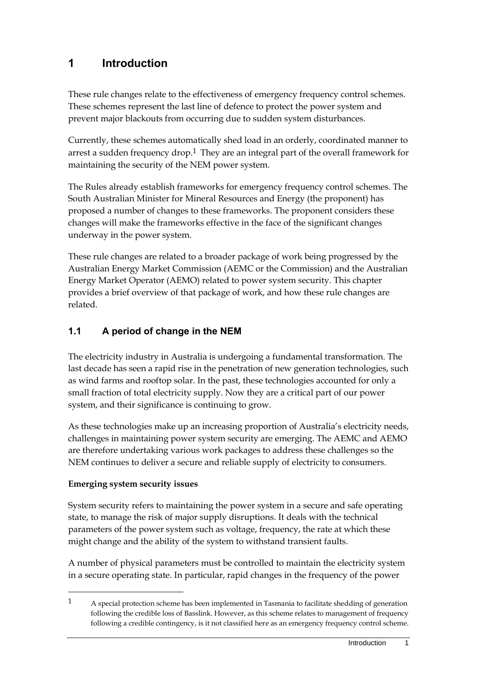# <span id="page-4-0"></span>**1 Introduction**

These rule changes relate to the effectiveness of emergency frequency control schemes. These schemes represent the last line of defence to protect the power system and prevent major blackouts from occurring due to sudden system disturbances.

Currently, these schemes automatically shed load in an orderly, coordinated manner to arrest a sudden frequency drop.<sup>1</sup> They are an integral part of the overall framework for maintaining the security of the NEM power system.

The Rules already establish frameworks for emergency frequency control schemes. The South Australian Minister for Mineral Resources and Energy (the proponent) has proposed a number of changes to these frameworks. The proponent considers these changes will make the frameworks effective in the face of the significant changes underway in the power system.

These rule changes are related to a broader package of work being progressed by the Australian Energy Market Commission (AEMC or the Commission) and the Australian Energy Market Operator (AEMO) related to power system security. This chapter provides a brief overview of that package of work, and how these rule changes are related.

### <span id="page-4-1"></span>**1.1 A period of change in the NEM**

The electricity industry in Australia is undergoing a fundamental transformation. The last decade has seen a rapid rise in the penetration of new generation technologies, such as wind farms and rooftop solar. In the past, these technologies accounted for only a small fraction of total electricity supply. Now they are a critical part of our power system, and their significance is continuing to grow.

As these technologies make up an increasing proportion of Australia's electricity needs, challenges in maintaining power system security are emerging. The AEMC and AEMO are therefore undertaking various work packages to address these challenges so the NEM continues to deliver a secure and reliable supply of electricity to consumers.

#### **Emerging system security issues**

<u>.</u>

System security refers to maintaining the power system in a secure and safe operating state, to manage the risk of major supply disruptions. It deals with the technical parameters of the power system such as voltage, frequency, the rate at which these might change and the ability of the system to withstand transient faults.

A number of physical parameters must be controlled to maintain the electricity system in a secure operating state. In particular, rapid changes in the frequency of the power

<sup>1</sup> A special protection scheme has been implemented in Tasmania to facilitate shedding of generation following the credible loss of Basslink. However, as this scheme relates to management of frequency following a credible contingency, is it not classified here as an emergency frequency control scheme.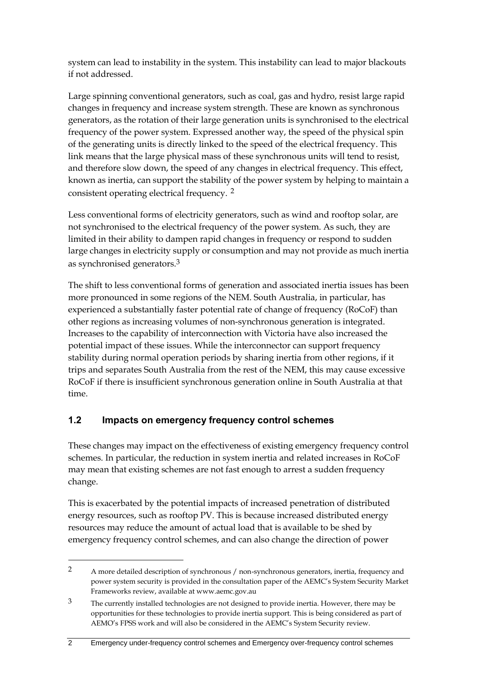system can lead to instability in the system. This instability can lead to major blackouts if not addressed.

Large spinning conventional generators, such as coal, gas and hydro, resist large rapid changes in frequency and increase system strength. These are known as synchronous generators, as the rotation of their large generation units is synchronised to the electrical frequency of the power system. Expressed another way, the speed of the physical spin of the generating units is directly linked to the speed of the electrical frequency. This link means that the large physical mass of these synchronous units will tend to resist, and therefore slow down, the speed of any changes in electrical frequency. This effect, known as inertia, can support the stability of the power system by helping to maintain a consistent operating electrical frequency. 2

Less conventional forms of electricity generators, such as wind and rooftop solar, are not synchronised to the electrical frequency of the power system. As such, they are limited in their ability to dampen rapid changes in frequency or respond to sudden large changes in electricity supply or consumption and may not provide as much inertia as synchronised generators. 3

The shift to less conventional forms of generation and associated inertia issues has been more pronounced in some regions of the NEM. South Australia, in particular, has experienced a substantially faster potential rate of change of frequency (RoCoF) than other regions as increasing volumes of non-synchronous generation is integrated. Increases to the capability of interconnection with Victoria have also increased the potential impact of these issues. While the interconnector can support frequency stability during normal operation periods by sharing inertia from other regions, if it trips and separates South Australia from the rest of the NEM, this may cause excessive RoCoF if there is insufficient synchronous generation online in South Australia at that time.

### <span id="page-5-0"></span>**1.2 Impacts on emergency frequency control schemes**

<u>.</u>

These changes may impact on the effectiveness of existing emergency frequency control schemes. In particular, the reduction in system inertia and related increases in RoCoF may mean that existing schemes are not fast enough to arrest a sudden frequency change.

This is exacerbated by the potential impacts of increased penetration of distributed energy resources, such as rooftop PV. This is because increased distributed energy resources may reduce the amount of actual load that is available to be shed by emergency frequency control schemes, and can also change the direction of power

<sup>2</sup> A more detailed description of synchronous / non-synchronous generators, inertia, frequency and power system security is provided in the consultation paper of the AEMC's System Security Market Frameworks review, available at www.aemc.gov.au

<sup>&</sup>lt;sup>3</sup> The currently installed technologies are not designed to provide inertia. However, there may be opportunities for these technologies to provide inertia support. This is being considered as part of AEMO's FPSS work and will also be considered in the AEMC's System Security review.

<sup>2</sup> Emergency under-frequency control schemes and Emergency over-frequency control schemes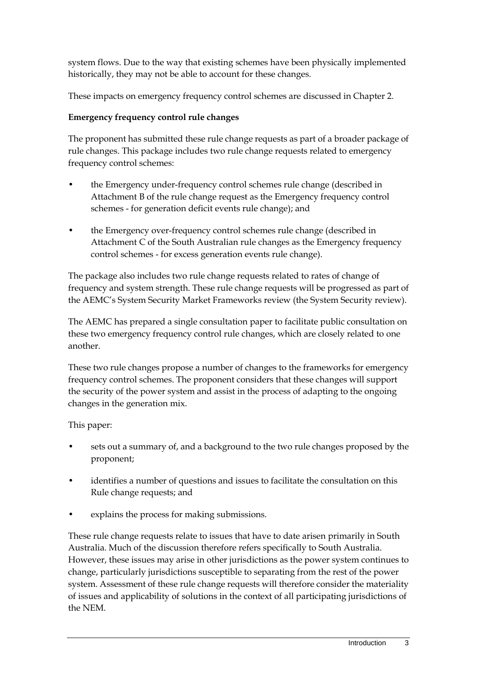system flows. Due to the way that existing schemes have been physically implemented historically, they may not be able to account for these changes.

These impacts on emergency frequency control schemes are discussed in Chapter 2.

### **Emergency frequency control rule changes**

The proponent has submitted these rule change requests as part of a broader package of rule changes. This package includes two rule change requests related to emergency frequency control schemes:

- the Emergency under-frequency control schemes rule change (described in Attachment B of the rule change request as the Emergency frequency control schemes - for generation deficit events rule change); and
- the Emergency over-frequency control schemes rule change (described in Attachment C of the South Australian rule changes as the Emergency frequency control schemes - for excess generation events rule change).

The package also includes two rule change requests related to rates of change of frequency and system strength. These rule change requests will be progressed as part of the AEMC's System Security Market Frameworks review (the System Security review).

The AEMC has prepared a single consultation paper to facilitate public consultation on these two emergency frequency control rule changes, which are closely related to one another.

These two rule changes propose a number of changes to the frameworks for emergency frequency control schemes. The proponent considers that these changes will support the security of the power system and assist in the process of adapting to the ongoing changes in the generation mix.

This paper:

- sets out a summary of, and a background to the two rule changes proposed by the proponent;
- identifies a number of questions and issues to facilitate the consultation on this Rule change requests; and
- explains the process for making submissions.

These rule change requests relate to issues that have to date arisen primarily in South Australia. Much of the discussion therefore refers specifically to South Australia. However, these issues may arise in other jurisdictions as the power system continues to change, particularly jurisdictions susceptible to separating from the rest of the power system. Assessment of these rule change requests will therefore consider the materiality of issues and applicability of solutions in the context of all participating jurisdictions of the NEM.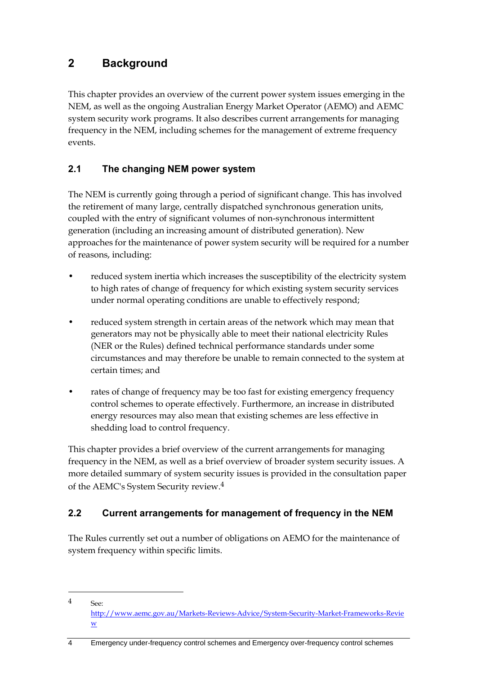# <span id="page-7-0"></span>**2 Background**

<u>.</u>

This chapter provides an overview of the current power system issues emerging in the NEM, as well as the ongoing Australian Energy Market Operator (AEMO) and AEMC system security work programs. It also describes current arrangements for managing frequency in the NEM, including schemes for the management of extreme frequency events.

### <span id="page-7-1"></span>**2.1 The changing NEM power system**

The NEM is currently going through a period of significant change. This has involved the retirement of many large, centrally dispatched synchronous generation units, coupled with the entry of significant volumes of non-synchronous intermittent generation (including an increasing amount of distributed generation). New approaches for the maintenance of power system security will be required for a number of reasons, including:

- reduced system inertia which increases the susceptibility of the electricity system to high rates of change of frequency for which existing system security services under normal operating conditions are unable to effectively respond;
- reduced system strength in certain areas of the network which may mean that generators may not be physically able to meet their national electricity Rules (NER or the Rules) defined technical performance standards under some circumstances and may therefore be unable to remain connected to the system at certain times; and
- rates of change of frequency may be too fast for existing emergency frequency control schemes to operate effectively. Furthermore, an increase in distributed energy resources may also mean that existing schemes are less effective in shedding load to control frequency.

This chapter provides a brief overview of the current arrangements for managing frequency in the NEM, as well as a brief overview of broader system security issues. A more detailed summary of system security issues is provided in the consultation paper of the AEMC's System Security review.4

### <span id="page-7-2"></span>**2.2 Current arrangements for management of frequency in the NEM**

The Rules currently set out a number of obligations on AEMO for the maintenance of system frequency within specific limits.

<sup>4</sup> See: [http://www.aemc.gov.au/Markets-Reviews-Advice/System-Security-Market-Frameworks-Revie](http://www.aemc.gov.au/Markets-Reviews-Advice/System-Security-Market-Frameworks-Review) [w](http://www.aemc.gov.au/Markets-Reviews-Advice/System-Security-Market-Frameworks-Review)

<sup>4</sup> Emergency under-frequency control schemes and Emergency over-frequency control schemes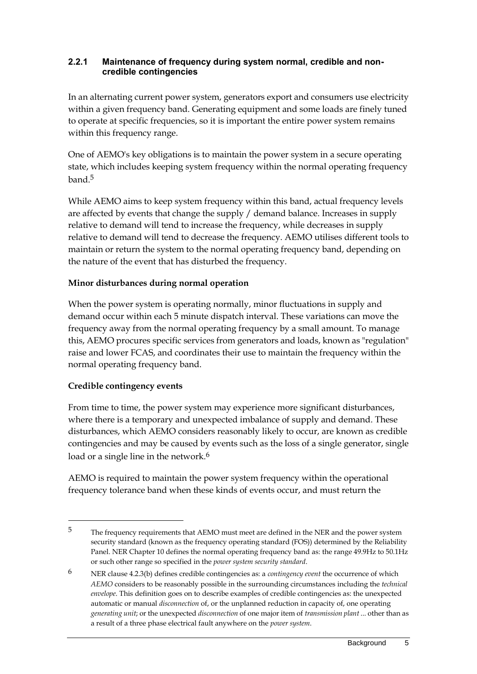#### **2.2.1 Maintenance of frequency during system normal, credible and noncredible contingencies**

In an alternating current power system, generators export and consumers use electricity within a given frequency band. Generating equipment and some loads are finely tuned to operate at specific frequencies, so it is important the entire power system remains within this frequency range.

One of AEMO's key obligations is to maintain the power system in a secure operating state, which includes keeping system frequency within the normal operating frequency band.5

While AEMO aims to keep system frequency within this band, actual frequency levels are affected by events that change the supply / demand balance. Increases in supply relative to demand will tend to increase the frequency, while decreases in supply relative to demand will tend to decrease the frequency. AEMO utilises different tools to maintain or return the system to the normal operating frequency band, depending on the nature of the event that has disturbed the frequency.

#### **Minor disturbances during normal operation**

When the power system is operating normally, minor fluctuations in supply and demand occur within each 5 minute dispatch interval. These variations can move the frequency away from the normal operating frequency by a small amount. To manage this, AEMO procures specific services from generators and loads, known as "regulation" raise and lower FCAS, and coordinates their use to maintain the frequency within the normal operating frequency band.

#### **Credible contingency events**

<u>.</u>

From time to time, the power system may experience more significant disturbances, where there is a temporary and unexpected imbalance of supply and demand. These disturbances, which AEMO considers reasonably likely to occur, are known as credible contingencies and may be caused by events such as the loss of a single generator, single load or a single line in the network.<sup>6</sup>

AEMO is required to maintain the power system frequency within the operational frequency tolerance band when these kinds of events occur, and must return the

<sup>5</sup> The frequency requirements that AEMO must meet are defined in the NER and the power system security standard (known as the frequency operating standard (FOS)) determined by the Reliability Panel. NER Chapter 10 defines the normal operating frequency band as: the range 49.9Hz to 50.1Hz or such other range so specified in the *power system security standard*.

<sup>6</sup> NER clause 4.2.3(b) defines credible contingencies as: a *contingency event* the occurrence of which *AEMO* considers to be reasonably possible in the surrounding circumstances including the *technical envelope*. This definition goes on to describe examples of credible contingencies as: the unexpected automatic or manual *disconnection* of, or the unplanned reduction in capacity of, one operating *generating unit*; or the unexpected *disconnection* of one major item of *transmission plant* ... other than as a result of a three phase electrical fault anywhere on the *power system*.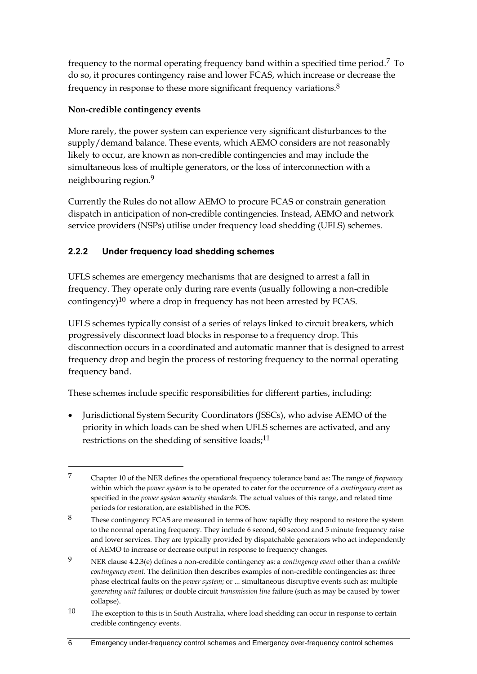frequency to the normal operating frequency band within a specified time period.7 To do so, it procures contingency raise and lower FCAS, which increase or decrease the frequency in response to these more significant frequency variations.8

### **Non-credible contingency events**

<u>.</u>

More rarely, the power system can experience very significant disturbances to the supply/demand balance. These events, which AEMO considers are not reasonably likely to occur, are known as non-credible contingencies and may include the simultaneous loss of multiple generators, or the loss of interconnection with a neighbouring region. 9

Currently the Rules do not allow AEMO to procure FCAS or constrain generation dispatch in anticipation of non-credible contingencies. Instead, AEMO and network service providers (NSPs) utilise under frequency load shedding (UFLS) schemes.

### **2.2.2 Under frequency load shedding schemes**

UFLS schemes are emergency mechanisms that are designed to arrest a fall in frequency. They operate only during rare events (usually following a non-credible contingency)10 where a drop in frequency has not been arrested by FCAS.

UFLS schemes typically consist of a series of relays linked to circuit breakers, which progressively disconnect load blocks in response to a frequency drop. This disconnection occurs in a coordinated and automatic manner that is designed to arrest frequency drop and begin the process of restoring frequency to the normal operating frequency band.

These schemes include specific responsibilities for different parties, including:

 Jurisdictional System Security Coordinators (JSSCs), who advise AEMO of the priority in which loads can be shed when UFLS schemes are activated, and any restrictions on the shedding of sensitive loads;<sup>11</sup>

<sup>7</sup> Chapter 10 of the NER defines the operational frequency tolerance band as: The range of *frequency*  within which the *power system* is to be operated to cater for the occurrence of a *contingency event* as specified in the *power system security standards*. The actual values of this range, and related time periods for restoration, are established in the FOS.

<sup>8</sup> These contingency FCAS are measured in terms of how rapidly they respond to restore the system to the normal operating frequency. They include 6 second, 60 second and 5 minute frequency raise and lower services. They are typically provided by dispatchable generators who act independently of AEMO to increase or decrease output in response to frequency changes.

<sup>9</sup> NER clause 4.2.3(e) defines a non-credible contingency as: a *contingency event* other than a *credible contingency event*. The definition then describes examples of non-credible contingencies as: three phase electrical faults on the *power system*; or ... simultaneous disruptive events such as: multiple *generating unit* failures; or double circuit *transmission line* failure (such as may be caused by tower collapse).

<sup>10</sup> The exception to this is in South Australia, where load shedding can occur in response to certain credible contingency events.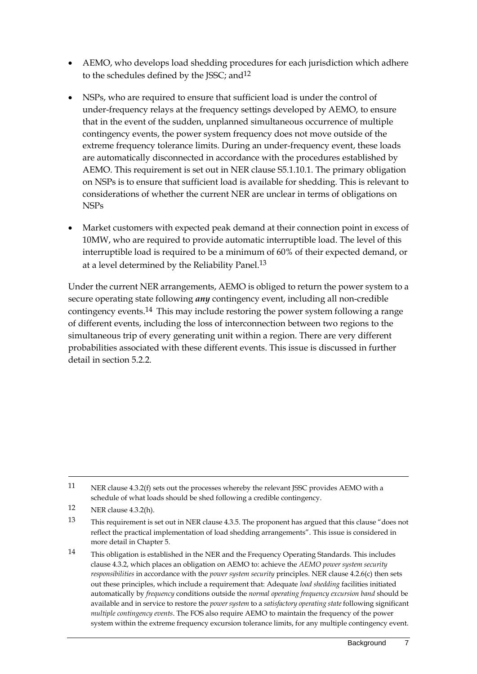- AEMO, who develops load shedding procedures for each jurisdiction which adhere to the schedules defined by the JSSC; and<sup>12</sup>
- NSPs, who are required to ensure that sufficient load is under the control of under-frequency relays at the frequency settings developed by AEMO, to ensure that in the event of the sudden, unplanned simultaneous occurrence of multiple contingency events, the power system frequency does not move outside of the extreme frequency tolerance limits. During an under-frequency event, these loads are automatically disconnected in accordance with the procedures established by AEMO. This requirement is set out in NER clause S5.1.10.1. The primary obligation on NSPs is to ensure that sufficient load is available for shedding. This is relevant to considerations of whether the current NER are unclear in terms of obligations on NSPs
- Market customers with expected peak demand at their connection point in excess of 10MW, who are required to provide automatic interruptible load. The level of this interruptible load is required to be a minimum of 60% of their expected demand, or at a level determined by the Reliability Panel.13

Under the current NER arrangements, AEMO is obliged to return the power system to a secure operating state following *any* contingency event, including all non-credible contingency events.14 This may include restoring the power system following a range of different events, including the loss of interconnection between two regions to the simultaneous trip of every generating unit within a region. There are very different probabilities associated with these different events. This issue is discussed in further detail in section 5.2.2.

<u>.</u>

<sup>11</sup> NER clause 4.3.2(f) sets out the processes whereby the relevant JSSC provides AEMO with a schedule of what loads should be shed following a credible contingency.

<sup>12</sup> NER clause 4.3.2(h).

<sup>13</sup> This requirement is set out in NER clause 4.3.5. The proponent has argued that this clause "does not reflect the practical implementation of load shedding arrangements". This issue is considered in more detail in Chapter 5.

<sup>14</sup> This obligation is established in the NER and the Frequency Operating Standards. This includes clause 4.3.2, which places an obligation on AEMO to: achieve the *AEMO power system security responsibilities* in accordance with the *power system security* principles. NER clause 4.2.6(c) then sets out these principles, which include a requirement that: Adequate *load shedding* facilities initiated automatically by *frequency* conditions outside the *normal operating frequency excursion band* should be available and in service to restore the *power system* to a *satisfactory operating state* following significant *multiple contingency events*. The FOS also require AEMO to maintain the frequency of the power system within the extreme frequency excursion tolerance limits, for any multiple contingency event.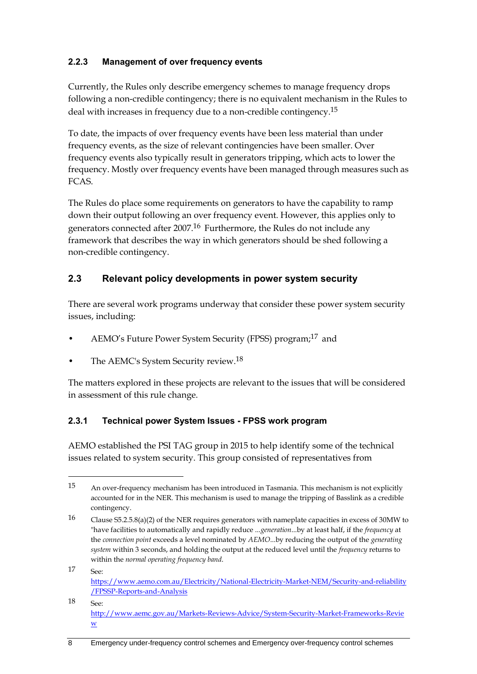### **2.2.3 Management of over frequency events**

Currently, the Rules only describe emergency schemes to manage frequency drops following a non-credible contingency; there is no equivalent mechanism in the Rules to deal with increases in frequency due to a non-credible contingency.15

To date, the impacts of over frequency events have been less material than under frequency events, as the size of relevant contingencies have been smaller. Over frequency events also typically result in generators tripping, which acts to lower the frequency. Mostly over frequency events have been managed through measures such as FCAS.

The Rules do place some requirements on generators to have the capability to ramp down their output following an over frequency event. However, this applies only to generators connected after 2007.16 Furthermore, the Rules do not include any framework that describes the way in which generators should be shed following a non-credible contingency.

### <span id="page-11-0"></span>**2.3 Relevant policy developments in power system security**

There are several work programs underway that consider these power system security issues, including:

- AEMO's Future Power System Security (FPSS) program;17 and
- The AEMC's System Security review.<sup>18</sup>

<u>.</u>

The matters explored in these projects are relevant to the issues that will be considered in assessment of this rule change.

#### **2.3.1 Technical power System Issues - FPSS work program**

AEMO established the PSI TAG group in 2015 to help identify some of the technical issues related to system security. This group consisted of representatives from

17 See: [https://www.aemo.com.au/Electricity/National-Electricity-Market-NEM/Security-and-reliability](https://www.aemo.com.au/Electricity/National-Electricity-Market-NEM/Security-and-reliability/FPSSP-Reports-and-Analysis) [/FPSSP-Reports-and-Analysis](https://www.aemo.com.au/Electricity/National-Electricity-Market-NEM/Security-and-reliability/FPSSP-Reports-and-Analysis)

 $18 \qquad \qquad \mathsf{S}_{\mathsf{P}}$ [http://www.aemc.gov.au/Markets-Reviews-Advice/System-Security-Market-Frameworks-Revie](http://www.aemc.gov.au/Markets-Reviews-Advice/System-Security-Market-Frameworks-Review) [w](http://www.aemc.gov.au/Markets-Reviews-Advice/System-Security-Market-Frameworks-Review)

<sup>15</sup> An over-frequency mechanism has been introduced in Tasmania. This mechanism is not explicitly accounted for in the NER. This mechanism is used to manage the tripping of Basslink as a credible contingency.

<sup>16</sup> Clause S5.2.5.8(a)(2) of the NER requires generators with nameplate capacities in excess of 30MW to "have facilities to automatically and rapidly reduce ...*generation*...by at least half, if the *frequency* at the *connection point* exceeds a level nominated by *AEMO*...by reducing the output of the *generating system* within 3 seconds, and holding the output at the reduced level until the *frequency* returns to within the *normal operating frequency band*.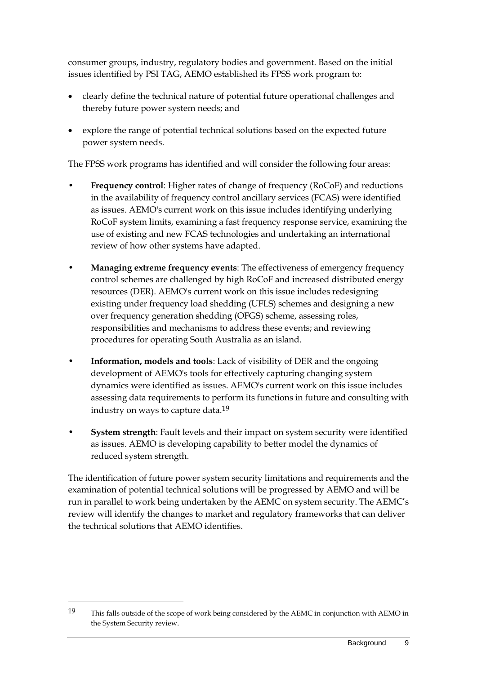consumer groups, industry, regulatory bodies and government. Based on the initial issues identified by PSI TAG, AEMO established its FPSS work program to:

- clearly define the technical nature of potential future operational challenges and thereby future power system needs; and
- explore the range of potential technical solutions based on the expected future power system needs.

The FPSS work programs has identified and will consider the following four areas:

- **Frequency control**: Higher rates of change of frequency (RoCoF) and reductions in the availability of frequency control ancillary services (FCAS) were identified as issues. AEMO's current work on this issue includes identifying underlying RoCoF system limits, examining a fast frequency response service, examining the use of existing and new FCAS technologies and undertaking an international review of how other systems have adapted.
- **Managing extreme frequency events**: The effectiveness of emergency frequency control schemes are challenged by high RoCoF and increased distributed energy resources (DER). AEMO's current work on this issue includes redesigning existing under frequency load shedding (UFLS) schemes and designing a new over frequency generation shedding (OFGS) scheme, assessing roles, responsibilities and mechanisms to address these events; and reviewing procedures for operating South Australia as an island.
- **Information, models and tools**: Lack of visibility of DER and the ongoing development of AEMO's tools for effectively capturing changing system dynamics were identified as issues. AEMO's current work on this issue includes assessing data requirements to perform its functions in future and consulting with industry on ways to capture data.19
- **System strength**: Fault levels and their impact on system security were identified as issues. AEMO is developing capability to better model the dynamics of reduced system strength.

The identification of future power system security limitations and requirements and the examination of potential technical solutions will be progressed by AEMO and will be run in parallel to work being undertaken by the AEMC on system security. The AEMC's review will identify the changes to market and regulatory frameworks that can deliver the technical solutions that AEMO identifies.

<sup>19</sup> This falls outside of the scope of work being considered by the AEMC in conjunction with AEMO in the System Security review.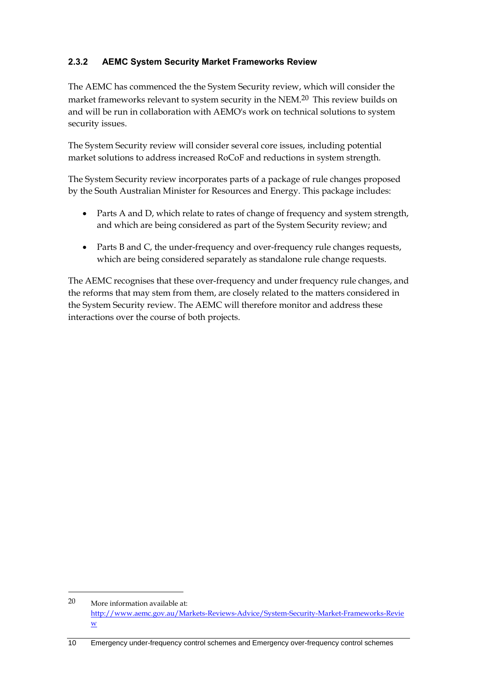### **2.3.2 AEMC System Security Market Frameworks Review**

The AEMC has commenced the the System Security review, which will consider the market frameworks relevant to system security in the NEM.<sup>20</sup> This review builds on and will be run in collaboration with AEMO's work on technical solutions to system security issues.

The System Security review will consider several core issues, including potential market solutions to address increased RoCoF and reductions in system strength.

The System Security review incorporates parts of a package of rule changes proposed by the South Australian Minister for Resources and Energy. This package includes:

- Parts A and D, which relate to rates of change of frequency and system strength, and which are being considered as part of the System Security review; and
- Parts B and C, the under-frequency and over-frequency rule changes requests, which are being considered separately as standalone rule change requests.

The AEMC recognises that these over-frequency and under frequency rule changes, and the reforms that may stem from them, are closely related to the matters considered in the System Security review. The AEMC will therefore monitor and address these interactions over the course of both projects.

<u>.</u>

<sup>20</sup> More information available at: [http://www.aemc.gov.au/Markets-Reviews-Advice/System-Security-Market-Frameworks-Revie](http://www.aemc.gov.au/Markets-Reviews-Advice/System-Security-Market-Frameworks-Review) [w](http://www.aemc.gov.au/Markets-Reviews-Advice/System-Security-Market-Frameworks-Review)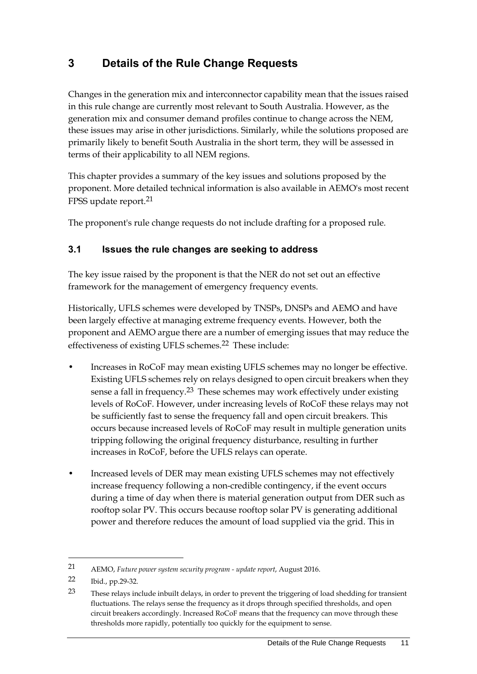# <span id="page-14-0"></span>**3 Details of the Rule Change Requests**

Changes in the generation mix and interconnector capability mean that the issues raised in this rule change are currently most relevant to South Australia. However, as the generation mix and consumer demand profiles continue to change across the NEM, these issues may arise in other jurisdictions. Similarly, while the solutions proposed are primarily likely to benefit South Australia in the short term, they will be assessed in terms of their applicability to all NEM regions.

This chapter provides a summary of the key issues and solutions proposed by the proponent. More detailed technical information is also available in AEMO's most recent FPSS update report.21

The proponent's rule change requests do not include drafting for a proposed rule.

#### <span id="page-14-1"></span>**3.1 Issues the rule changes are seeking to address**

The key issue raised by the proponent is that the NER do not set out an effective framework for the management of emergency frequency events.

Historically, UFLS schemes were developed by TNSPs, DNSPs and AEMO and have been largely effective at managing extreme frequency events. However, both the proponent and AEMO argue there are a number of emerging issues that may reduce the effectiveness of existing UFLS schemes.22 These include:

- Increases in RoCoF may mean existing UFLS schemes may no longer be effective. Existing UFLS schemes rely on relays designed to open circuit breakers when they sense a fall in frequency.<sup>23</sup> These schemes may work effectively under existing levels of RoCoF. However, under increasing levels of RoCoF these relays may not be sufficiently fast to sense the frequency fall and open circuit breakers. This occurs because increased levels of RoCoF may result in multiple generation units tripping following the original frequency disturbance, resulting in further increases in RoCoF, before the UFLS relays can operate.
- Increased levels of DER may mean existing UFLS schemes may not effectively increase frequency following a non-credible contingency, if the event occurs during a time of day when there is material generation output from DER such as rooftop solar PV. This occurs because rooftop solar PV is generating additional power and therefore reduces the amount of load supplied via the grid. This in

<u>.</u>

<sup>21</sup> AEMO, *Future power system security program - update report*, August 2016.

<sup>22</sup> Ibid., pp.29-32.

<sup>23</sup> These relays include inbuilt delays, in order to prevent the triggering of load shedding for transient fluctuations. The relays sense the frequency as it drops through specified thresholds, and open circuit breakers accordingly. Increased RoCoF means that the frequency can move through these thresholds more rapidly, potentially too quickly for the equipment to sense.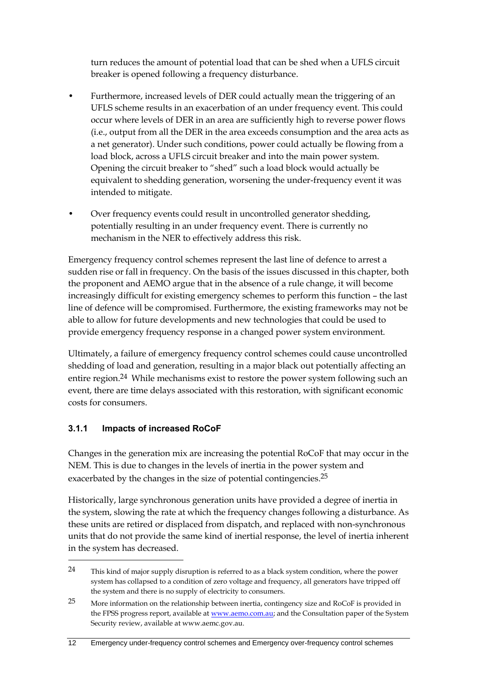turn reduces the amount of potential load that can be shed when a UFLS circuit breaker is opened following a frequency disturbance.

- Furthermore, increased levels of DER could actually mean the triggering of an UFLS scheme results in an exacerbation of an under frequency event. This could occur where levels of DER in an area are sufficiently high to reverse power flows (i.e., output from all the DER in the area exceeds consumption and the area acts as a net generator). Under such conditions, power could actually be flowing from a load block, across a UFLS circuit breaker and into the main power system. Opening the circuit breaker to "shed" such a load block would actually be equivalent to shedding generation, worsening the under-frequency event it was intended to mitigate.
- Over frequency events could result in uncontrolled generator shedding, potentially resulting in an under frequency event. There is currently no mechanism in the NER to effectively address this risk.

Emergency frequency control schemes represent the last line of defence to arrest a sudden rise or fall in frequency. On the basis of the issues discussed in this chapter, both the proponent and AEMO argue that in the absence of a rule change, it will become increasingly difficult for existing emergency schemes to perform this function – the last line of defence will be compromised. Furthermore, the existing frameworks may not be able to allow for future developments and new technologies that could be used to provide emergency frequency response in a changed power system environment.

Ultimately, a failure of emergency frequency control schemes could cause uncontrolled shedding of load and generation, resulting in a major black out potentially affecting an entire region.24 While mechanisms exist to restore the power system following such an event, there are time delays associated with this restoration, with significant economic costs for consumers.

#### **3.1.1 Impacts of increased RoCoF**

<u>.</u>

Changes in the generation mix are increasing the potential RoCoF that may occur in the NEM. This is due to changes in the levels of inertia in the power system and exacerbated by the changes in the size of potential contingencies.<sup>25</sup>

Historically, large synchronous generation units have provided a degree of inertia in the system, slowing the rate at which the frequency changes following a disturbance. As these units are retired or displaced from dispatch, and replaced with non-synchronous units that do not provide the same kind of inertial response, the level of inertia inherent in the system has decreased.

<sup>24</sup> This kind of major supply disruption is referred to as a black system condition, where the power system has collapsed to a condition of zero voltage and frequency, all generators have tripped off the system and there is no supply of electricity to consumers.

<sup>25</sup> More information on the relationship between inertia, contingency size and RoCoF is provided in the FPSS progress report, available a[t www.aemo.com.au;](http://www.aemo.com.au/) and the Consultation paper of the System Security review, available at www.aemc.gov.au.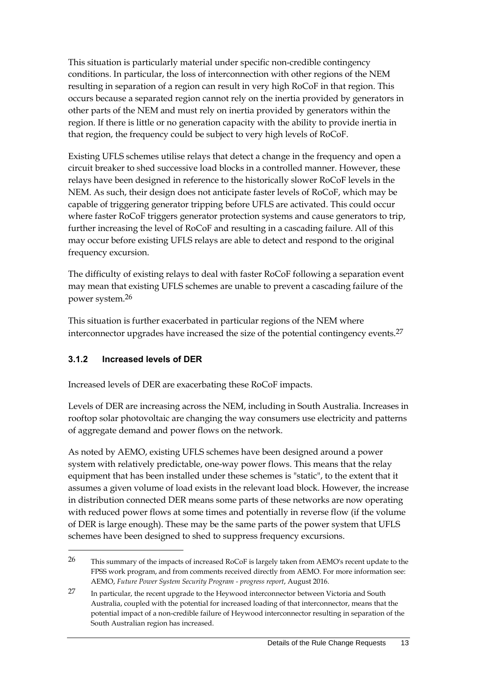This situation is particularly material under specific non-credible contingency conditions. In particular, the loss of interconnection with other regions of the NEM resulting in separation of a region can result in very high RoCoF in that region. This occurs because a separated region cannot rely on the inertia provided by generators in other parts of the NEM and must rely on inertia provided by generators within the region. If there is little or no generation capacity with the ability to provide inertia in that region, the frequency could be subject to very high levels of RoCoF.

Existing UFLS schemes utilise relays that detect a change in the frequency and open a circuit breaker to shed successive load blocks in a controlled manner. However, these relays have been designed in reference to the historically slower RoCoF levels in the NEM. As such, their design does not anticipate faster levels of RoCoF, which may be capable of triggering generator tripping before UFLS are activated. This could occur where faster RoCoF triggers generator protection systems and cause generators to trip, further increasing the level of RoCoF and resulting in a cascading failure. All of this may occur before existing UFLS relays are able to detect and respond to the original frequency excursion.

The difficulty of existing relays to deal with faster RoCoF following a separation event may mean that existing UFLS schemes are unable to prevent a cascading failure of the power system. 26

This situation is further exacerbated in particular regions of the NEM where interconnector upgrades have increased the size of the potential contingency events.<sup>27</sup>

#### **3.1.2 Increased levels of DER**

<u>.</u>

Increased levels of DER are exacerbating these RoCoF impacts.

Levels of DER are increasing across the NEM, including in South Australia. Increases in rooftop solar photovoltaic are changing the way consumers use electricity and patterns of aggregate demand and power flows on the network.

As noted by AEMO, existing UFLS schemes have been designed around a power system with relatively predictable, one-way power flows. This means that the relay equipment that has been installed under these schemes is "static", to the extent that it assumes a given volume of load exists in the relevant load block. However, the increase in distribution connected DER means some parts of these networks are now operating with reduced power flows at some times and potentially in reverse flow (if the volume of DER is large enough). These may be the same parts of the power system that UFLS schemes have been designed to shed to suppress frequency excursions.

<sup>26</sup> This summary of the impacts of increased RoCoF is largely taken from AEMO's recent update to the FPSS work program, and from comments received directly from AEMO. For more information see: AEMO, *Future Power System Security Program - progress report*, August 2016.

<sup>27</sup> In particular, the recent upgrade to the Heywood interconnector between Victoria and South Australia, coupled with the potential for increased loading of that interconnector, means that the potential impact of a non-credible failure of Heywood interconnector resulting in separation of the South Australian region has increased.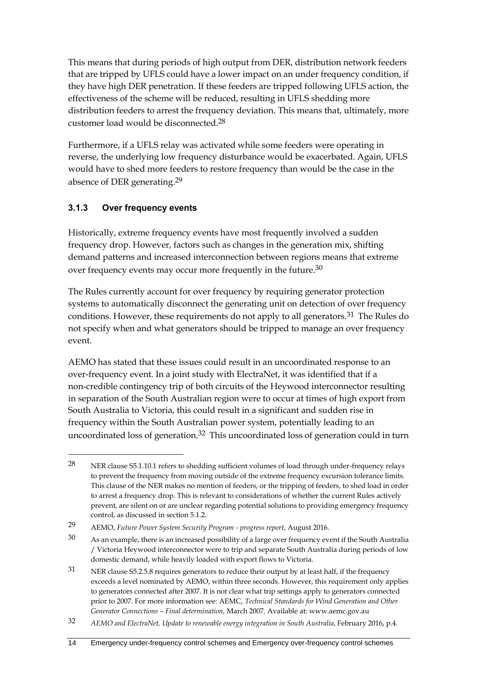This means that during periods of high output from DER, distribution network feeders that are tripped by UFLS could have a lower impact on an under frequency condition, if they have high DER penetration. If these feeders are tripped following UFLS action, the effectiveness of the scheme will be reduced, resulting in UFLS shedding more distribution feeders to arrest the frequency deviation. This means that, ultimately, more customer load would be disconnected.28

Furthermore, if a UFLS relay was activated while some feeders were operating in reverse, the underlying low frequency disturbance would be exacerbated. Again, UFLS would have to shed more feeders to restore frequency than would be the case in the absence of DER generating.29

### **3.1.3 Over frequency events**

<u>.</u>

Historically, extreme frequency events have most frequently involved a sudden frequency drop. However, factors such as changes in the generation mix, shifting demand patterns and increased interconnection between regions means that extreme over frequency events may occur more frequently in the future. 30

The Rules currently account for over frequency by requiring generator protection systems to automatically disconnect the generating unit on detection of over frequency conditions. However, these requirements do not apply to all generators.<sup>31</sup> The Rules do not specify when and what generators should be tripped to manage an over frequency event.

AEMO has stated that these issues could result in an uncoordinated response to an over-frequency event. In a joint study with ElectraNet, it was identified that if a non-credible contingency trip of both circuits of the Heywood interconnector resulting in separation of the South Australian region were to occur at times of high export from South Australia to Victoria, this could result in a significant and sudden rise in frequency within the South Australian power system, potentially leading to an uncoordinated loss of generation.<sup>32</sup> This uncoordinated loss of generation could in turn

<sup>28</sup> NER clause S5.1.10.1 refers to shedding sufficient volumes of load through under-frequency relays to prevent the frequency from moving outside of the extreme frequency excursion tolerance limits. This clause of the NER makes no mention of feeders, or the tripping of feeders, to shed load in order to arrest a frequency drop. This is relevant to considerations of whether the current Rules actively prevent, are silent on or are unclear regarding potential solutions to providing emergency frequency control, as discussed in section 5.1.2.

<sup>29</sup> AEMO, *Future Power System Security Program - progress report*, August 2016.

<sup>30</sup> As an example, there is an increased possibility of a large over frequency event if the South Australia / Victoria Heywood interconnector were to trip and separate South Australia during periods of low domestic demand, while heavily loaded with export flows to Victoria.

<sup>31</sup> NER clause S5.2.5.8 requires generators to reduce their output by at least half, if the frequency exceeds a level nominated by AEMO, within three seconds. However, this requirement only applies to generators connected after 2007. It is not clear what trip settings apply to generators connected prior to 2007. For more information see: AEMC, *Technical Standards for Wind Generation and Other Generator Connections – Final determination,* March 2007*.* Available at: www.aemc.gov.au

<sup>32</sup> *AEMO and ElectraNet, Update to renewable energy integration in South Australia*, February 2016, p.4.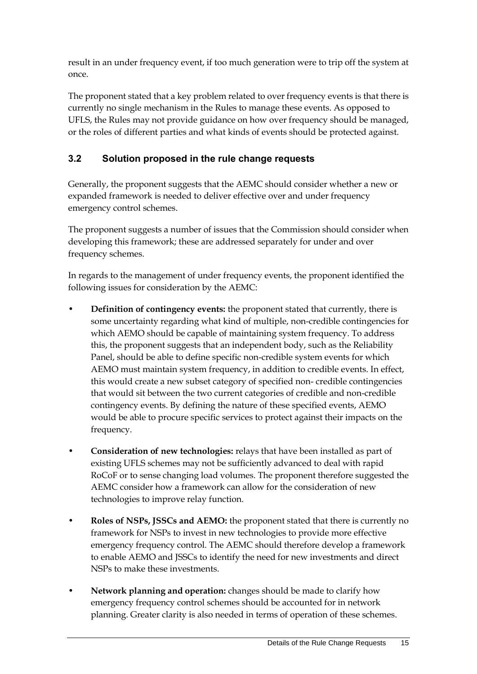result in an under frequency event, if too much generation were to trip off the system at once.

The proponent stated that a key problem related to over frequency events is that there is currently no single mechanism in the Rules to manage these events. As opposed to UFLS, the Rules may not provide guidance on how over frequency should be managed, or the roles of different parties and what kinds of events should be protected against.

### <span id="page-18-0"></span>**3.2 Solution proposed in the rule change requests**

Generally, the proponent suggests that the AEMC should consider whether a new or expanded framework is needed to deliver effective over and under frequency emergency control schemes.

The proponent suggests a number of issues that the Commission should consider when developing this framework; these are addressed separately for under and over frequency schemes.

In regards to the management of under frequency events, the proponent identified the following issues for consideration by the AEMC:

- **Definition of contingency events:** the proponent stated that currently, there is some uncertainty regarding what kind of multiple, non-credible contingencies for which AEMO should be capable of maintaining system frequency. To address this, the proponent suggests that an independent body, such as the Reliability Panel, should be able to define specific non-credible system events for which AEMO must maintain system frequency, in addition to credible events. In effect, this would create a new subset category of specified non- credible contingencies that would sit between the two current categories of credible and non-credible contingency events. By defining the nature of these specified events, AEMO would be able to procure specific services to protect against their impacts on the frequency.
- **Consideration of new technologies:** relays that have been installed as part of existing UFLS schemes may not be sufficiently advanced to deal with rapid RoCoF or to sense changing load volumes. The proponent therefore suggested the AEMC consider how a framework can allow for the consideration of new technologies to improve relay function.
- **Roles of NSPs, JSSCs and AEMO:** the proponent stated that there is currently no framework for NSPs to invest in new technologies to provide more effective emergency frequency control. The AEMC should therefore develop a framework to enable AEMO and JSSCs to identify the need for new investments and direct NSPs to make these investments.
- **Network planning and operation:** changes should be made to clarify how emergency frequency control schemes should be accounted for in network planning. Greater clarity is also needed in terms of operation of these schemes.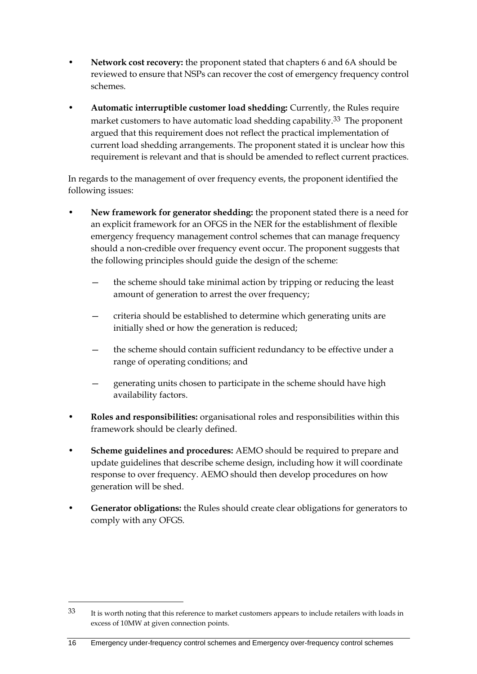- **Network cost recovery:** the proponent stated that chapters 6 and 6A should be reviewed to ensure that NSPs can recover the cost of emergency frequency control schemes.
- **Automatic interruptible customer load shedding:** Currently, the Rules require market customers to have automatic load shedding capability.<sup>33</sup> The proponent argued that this requirement does not reflect the practical implementation of current load shedding arrangements. The proponent stated it is unclear how this requirement is relevant and that is should be amended to reflect current practices.

In regards to the management of over frequency events, the proponent identified the following issues:

- **New framework for generator shedding:** the proponent stated there is a need for an explicit framework for an OFGS in the NER for the establishment of flexible emergency frequency management control schemes that can manage frequency should a non-credible over frequency event occur. The proponent suggests that the following principles should guide the design of the scheme:
	- the scheme should take minimal action by tripping or reducing the least amount of generation to arrest the over frequency;
	- criteria should be established to determine which generating units are initially shed or how the generation is reduced;
	- the scheme should contain sufficient redundancy to be effective under a range of operating conditions; and
	- generating units chosen to participate in the scheme should have high availability factors.
- **Roles and responsibilities:** organisational roles and responsibilities within this framework should be clearly defined.
- **Scheme guidelines and procedures:** AEMO should be required to prepare and update guidelines that describe scheme design, including how it will coordinate response to over frequency. AEMO should then develop procedures on how generation will be shed.
- **Generator obligations:** the Rules should create clear obligations for generators to comply with any OFGS.

<sup>33</sup> It is worth noting that this reference to market customers appears to include retailers with loads in excess of 10MW at given connection points.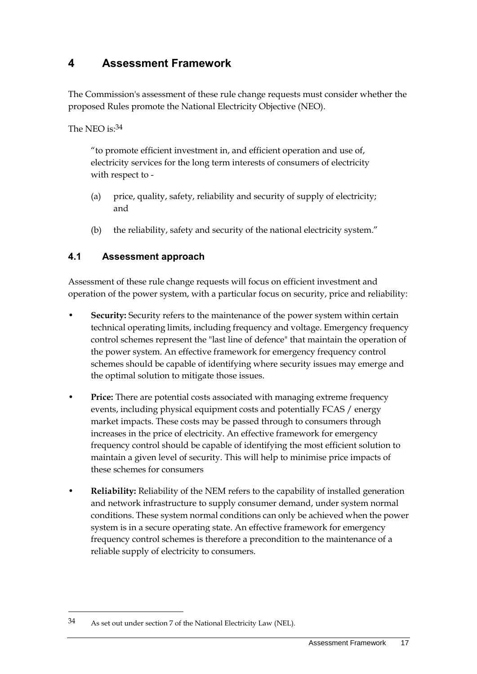# <span id="page-20-0"></span>**4 Assessment Framework**

The Commission's assessment of these rule change requests must consider whether the proposed Rules promote the National Electricity Objective (NEO).

The NEO is: 34

"to promote efficient investment in, and efficient operation and use of, electricity services for the long term interests of consumers of electricity with respect to -

- (a) price, quality, safety, reliability and security of supply of electricity; and
- (b) the reliability, safety and security of the national electricity system."

### <span id="page-20-1"></span>**4.1 Assessment approach**

Assessment of these rule change requests will focus on efficient investment and operation of the power system, with a particular focus on security, price and reliability:

- **Security:** Security refers to the maintenance of the power system within certain technical operating limits, including frequency and voltage. Emergency frequency control schemes represent the "last line of defence" that maintain the operation of the power system. An effective framework for emergency frequency control schemes should be capable of identifying where security issues may emerge and the optimal solution to mitigate those issues.
- **Price:** There are potential costs associated with managing extreme frequency events, including physical equipment costs and potentially FCAS / energy market impacts. These costs may be passed through to consumers through increases in the price of electricity. An effective framework for emergency frequency control should be capable of identifying the most efficient solution to maintain a given level of security. This will help to minimise price impacts of these schemes for consumers
- **Reliability:** Reliability of the NEM refers to the capability of installed generation and network infrastructure to supply consumer demand, under system normal conditions. These system normal conditions can only be achieved when the power system is in a secure operating state. An effective framework for emergency frequency control schemes is therefore a precondition to the maintenance of a reliable supply of electricity to consumers.

<sup>34</sup> As set out under section 7 of the National Electricity Law (NEL).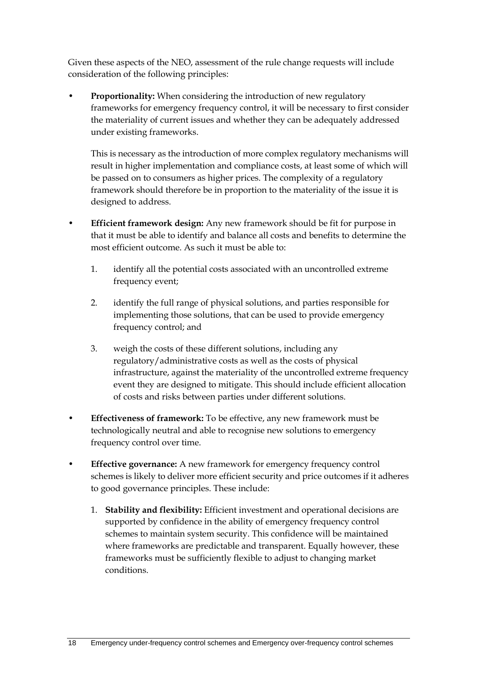Given these aspects of the NEO, assessment of the rule change requests will include consideration of the following principles:

• **Proportionality:** When considering the introduction of new regulatory frameworks for emergency frequency control, it will be necessary to first consider the materiality of current issues and whether they can be adequately addressed under existing frameworks.

This is necessary as the introduction of more complex regulatory mechanisms will result in higher implementation and compliance costs, at least some of which will be passed on to consumers as higher prices. The complexity of a regulatory framework should therefore be in proportion to the materiality of the issue it is designed to address.

- **Efficient framework design:** Any new framework should be fit for purpose in that it must be able to identify and balance all costs and benefits to determine the most efficient outcome. As such it must be able to:
	- 1. identify all the potential costs associated with an uncontrolled extreme frequency event;
	- 2. identify the full range of physical solutions, and parties responsible for implementing those solutions, that can be used to provide emergency frequency control; and
	- 3. weigh the costs of these different solutions, including any regulatory/administrative costs as well as the costs of physical infrastructure, against the materiality of the uncontrolled extreme frequency event they are designed to mitigate. This should include efficient allocation of costs and risks between parties under different solutions.
- **Effectiveness of framework:** To be effective, any new framework must be technologically neutral and able to recognise new solutions to emergency frequency control over time.
- **Effective governance:** A new framework for emergency frequency control schemes is likely to deliver more efficient security and price outcomes if it adheres to good governance principles. These include:
	- 1. **Stability and flexibility:** Efficient investment and operational decisions are supported by confidence in the ability of emergency frequency control schemes to maintain system security. This confidence will be maintained where frameworks are predictable and transparent. Equally however, these frameworks must be sufficiently flexible to adjust to changing market conditions.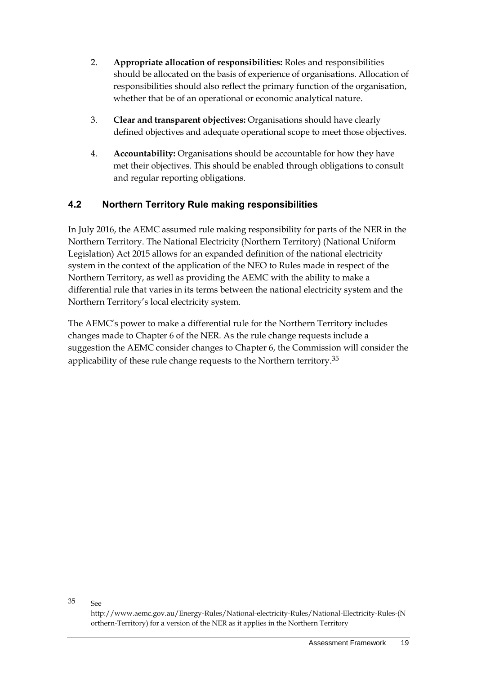- 2. **Appropriate allocation of responsibilities:** Roles and responsibilities should be allocated on the basis of experience of organisations. Allocation of responsibilities should also reflect the primary function of the organisation, whether that be of an operational or economic analytical nature.
- 3. **Clear and transparent objectives:** Organisations should have clearly defined objectives and adequate operational scope to meet those objectives.
- 4. **Accountability:** Organisations should be accountable for how they have met their objectives. This should be enabled through obligations to consult and regular reporting obligations.

### <span id="page-22-0"></span>**4.2 Northern Territory Rule making responsibilities**

In July 2016, the AEMC assumed rule making responsibility for parts of the NER in the Northern Territory. The National Electricity (Northern Territory) (National Uniform Legislation) Act 2015 allows for an expanded definition of the national electricity system in the context of the application of the NEO to Rules made in respect of the Northern Territory, as well as providing the AEMC with the ability to make a differential rule that varies in its terms between the national electricity system and the Northern Territory's local electricity system.

The AEMC's power to make a differential rule for the Northern Territory includes changes made to Chapter 6 of the NER. As the rule change requests include a suggestion the AEMC consider changes to Chapter 6, the Commission will consider the applicability of these rule change requests to the Northern territory.<sup>35</sup>

<u>.</u>

<sup>35</sup> See http://www.aemc.gov.au/Energy-Rules/National-electricity-Rules/National-Electricity-Rules-(N orthern-Territory) for a version of the NER as it applies in the Northern Territory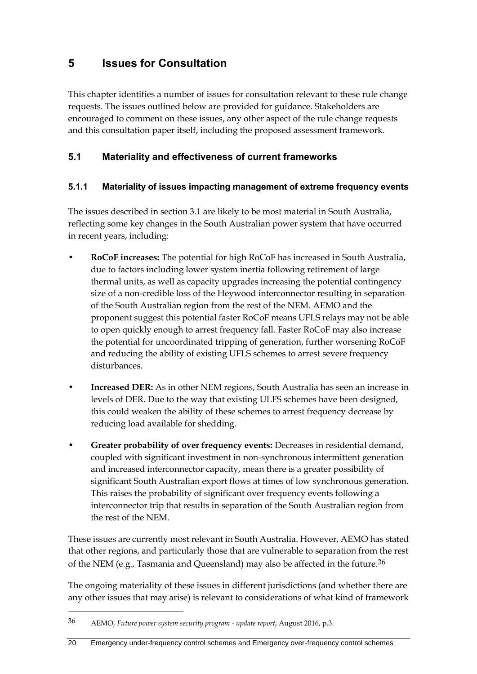## <span id="page-23-0"></span>**5 Issues for Consultation**

This chapter identifies a number of issues for consultation relevant to these rule change requests. The issues outlined below are provided for guidance. Stakeholders are encouraged to comment on these issues, any other aspect of the rule change requests and this consultation paper itself, including the proposed assessment framework.

### <span id="page-23-1"></span>**5.1 Materiality and effectiveness of current frameworks**

#### **5.1.1 Materiality of issues impacting management of extreme frequency events**

The issues described in section [3.1](#page-14-1) are likely to be most material in South Australia, reflecting some key changes in the South Australian power system that have occurred in recent years, including:

- **RoCoF increases:** The potential for high RoCoF has increased in South Australia, due to factors including lower system inertia following retirement of large thermal units, as well as capacity upgrades increasing the potential contingency size of a non-credible loss of the Heywood interconnector resulting in separation of the South Australian region from the rest of the NEM. AEMO and the proponent suggest this potential faster RoCoF means UFLS relays may not be able to open quickly enough to arrest frequency fall. Faster RoCoF may also increase the potential for uncoordinated tripping of generation, further worsening RoCoF and reducing the ability of existing UFLS schemes to arrest severe frequency disturbances.
- **Increased DER:** As in other NEM regions, South Australia has seen an increase in levels of DER. Due to the way that existing ULFS schemes have been designed, this could weaken the ability of these schemes to arrest frequency decrease by reducing load available for shedding.
- **Greater probability of over frequency events:** Decreases in residential demand, coupled with significant investment in non-synchronous intermittent generation and increased interconnector capacity, mean there is a greater possibility of significant South Australian export flows at times of low synchronous generation. This raises the probability of significant over frequency events following a interconnector trip that results in separation of the South Australian region from the rest of the NEM.

These issues are currently most relevant in South Australia. However, AEMO has stated that other regions, and particularly those that are vulnerable to separation from the rest of the NEM (e.g., Tasmania and Queensland) may also be affected in the future.<sup>36</sup>

The ongoing materiality of these issues in different jurisdictions (and whether there are any other issues that may arise) is relevant to considerations of what kind of framework

<sup>36</sup> AEMO, *Future power system security program - update report*, August 2016, p.3.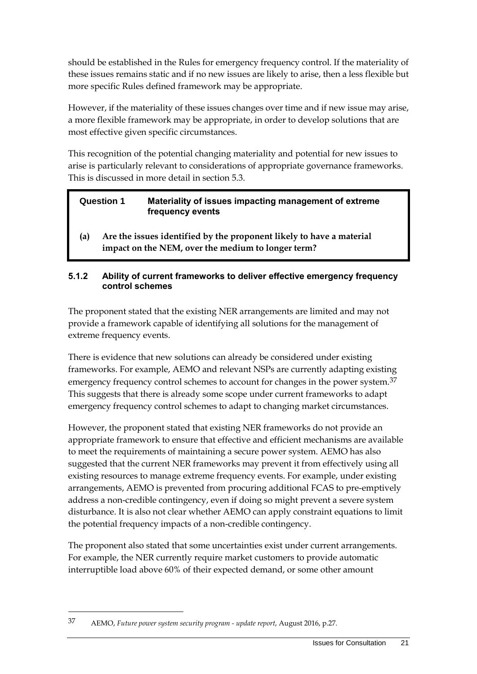should be established in the Rules for emergency frequency control. If the materiality of these issues remains static and if no new issues are likely to arise, then a less flexible but more specific Rules defined framework may be appropriate.

However, if the materiality of these issues changes over time and if new issue may arise, a more flexible framework may be appropriate, in order to develop solutions that are most effective given specific circumstances.

This recognition of the potential changing materiality and potential for new issues to arise is particularly relevant to considerations of appropriate governance frameworks. This is discussed in more detail in section 5.3.

| <b>Question 1</b> | Materiality of issues impacting management of extreme<br>frequency events |
|-------------------|---------------------------------------------------------------------------|
|                   | Are the issues identified by the proponent likely to have a material      |

**(a) Are the issues identified by the proponent likely to have a material impact on the NEM, over the medium to longer term?**

#### **5.1.2 Ability of current frameworks to deliver effective emergency frequency control schemes**

The proponent stated that the existing NER arrangements are limited and may not provide a framework capable of identifying all solutions for the management of extreme frequency events.

There is evidence that new solutions can already be considered under existing frameworks. For example, AEMO and relevant NSPs are currently adapting existing emergency frequency control schemes to account for changes in the power system.<sup>37</sup> This suggests that there is already some scope under current frameworks to adapt emergency frequency control schemes to adapt to changing market circumstances.

However, the proponent stated that existing NER frameworks do not provide an appropriate framework to ensure that effective and efficient mechanisms are available to meet the requirements of maintaining a secure power system. AEMO has also suggested that the current NER frameworks may prevent it from effectively using all existing resources to manage extreme frequency events. For example, under existing arrangements, AEMO is prevented from procuring additional FCAS to pre-emptively address a non-credible contingency, even if doing so might prevent a severe system disturbance. It is also not clear whether AEMO can apply constraint equations to limit the potential frequency impacts of a non-credible contingency.

The proponent also stated that some uncertainties exist under current arrangements. For example, the NER currently require market customers to provide automatic interruptible load above 60% of their expected demand, or some other amount

<sup>37</sup> AEMO, *Future power system security program - update report*, August 2016, p.27.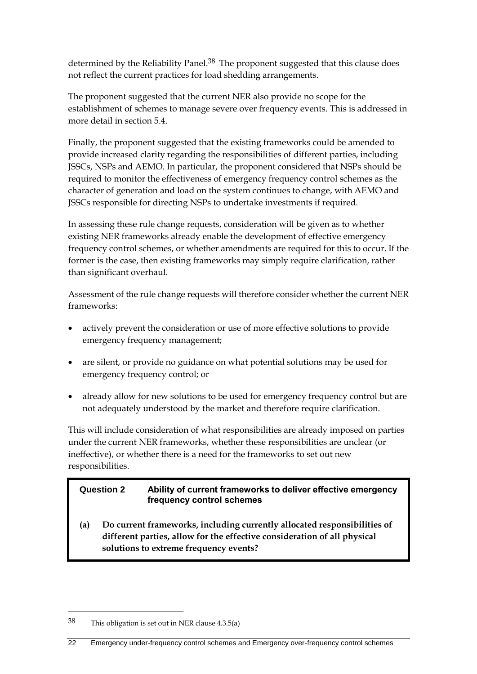determined by the Reliability Panel.<sup>38</sup> The proponent suggested that this clause does not reflect the current practices for load shedding arrangements.

The proponent suggested that the current NER also provide no scope for the establishment of schemes to manage severe over frequency events. This is addressed in more detail in section [5.4.](#page-29-0)

Finally, the proponent suggested that the existing frameworks could be amended to provide increased clarity regarding the responsibilities of different parties, including JSSCs, NSPs and AEMO. In particular, the proponent considered that NSPs should be required to monitor the effectiveness of emergency frequency control schemes as the character of generation and load on the system continues to change, with AEMO and JSSCs responsible for directing NSPs to undertake investments if required.

In assessing these rule change requests, consideration will be given as to whether existing NER frameworks already enable the development of effective emergency frequency control schemes, or whether amendments are required for this to occur. If the former is the case, then existing frameworks may simply require clarification, rather than significant overhaul.

Assessment of the rule change requests will therefore consider whether the current NER frameworks:

- actively prevent the consideration or use of more effective solutions to provide emergency frequency management;
- are silent, or provide no guidance on what potential solutions may be used for emergency frequency control; or
- already allow for new solutions to be used for emergency frequency control but are not adequately understood by the market and therefore require clarification.

This will include consideration of what responsibilities are already imposed on parties under the current NER frameworks, whether these responsibilities are unclear (or ineffective), or whether there is a need for the frameworks to set out new responsibilities.

#### **Question 2 Ability of current frameworks to deliver effective emergency frequency control schemes**

**(a) Do current frameworks, including currently allocated responsibilities of different parties, allow for the effective consideration of all physical solutions to extreme frequency events?**

<sup>38</sup> This obligation is set out in NER clause 4.3.5(a)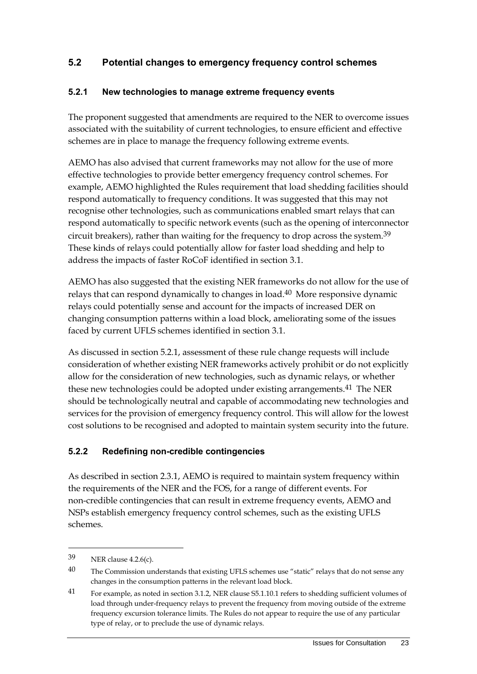### <span id="page-26-0"></span>**5.2 Potential changes to emergency frequency control schemes**

#### **5.2.1 New technologies to manage extreme frequency events**

The proponent suggested that amendments are required to the NER to overcome issues associated with the suitability of current technologies, to ensure efficient and effective schemes are in place to manage the frequency following extreme events.

AEMO has also advised that current frameworks may not allow for the use of more effective technologies to provide better emergency frequency control schemes. For example, AEMO highlighted the Rules requirement that load shedding facilities should respond automatically to frequency conditions. It was suggested that this may not recognise other technologies, such as communications enabled smart relays that can respond automatically to specific network events (such as the opening of interconnector circuit breakers), rather than waiting for the frequency to drop across the system. 39 These kinds of relays could potentially allow for faster load shedding and help to address the impacts of faster RoCoF identified in section [3.1.](#page-14-1)

AEMO has also suggested that the existing NER frameworks do not allow for the use of relays that can respond dynamically to changes in load.40 More responsive dynamic relays could potentially sense and account for the impacts of increased DER on changing consumption patterns within a load block, ameliorating some of the issues faced by current UFLS schemes identified in section [3.1.](#page-14-1)

As discussed in section 5.2.1, assessment of these rule change requests will include consideration of whether existing NER frameworks actively prohibit or do not explicitly allow for the consideration of new technologies, such as dynamic relays, or whether these new technologies could be adopted under existing arrangements.<sup>41</sup> The NER should be technologically neutral and capable of accommodating new technologies and services for the provision of emergency frequency control. This will allow for the lowest cost solutions to be recognised and adopted to maintain system security into the future.

#### **5.2.2 Redefining non-credible contingencies**

As described in section 2.3.1, AEMO is required to maintain system frequency within the requirements of the NER and the FOS, for a range of different events. For non-credible contingencies that can result in extreme frequency events, AEMO and NSPs establish emergency frequency control schemes, such as the existing UFLS schemes.

<u>.</u>

<sup>39</sup> NER clause 4.2.6(c).

<sup>&</sup>lt;sup>40</sup> The Commission understands that existing UFLS schemes use "static" relays that do not sense any changes in the consumption patterns in the relevant load block.

<sup>41</sup> For example, as noted in section 3.1.2, NER clause S5.1.10.1 refers to shedding sufficient volumes of load through under-frequency relays to prevent the frequency from moving outside of the extreme frequency excursion tolerance limits. The Rules do not appear to require the use of any particular type of relay, or to preclude the use of dynamic relays.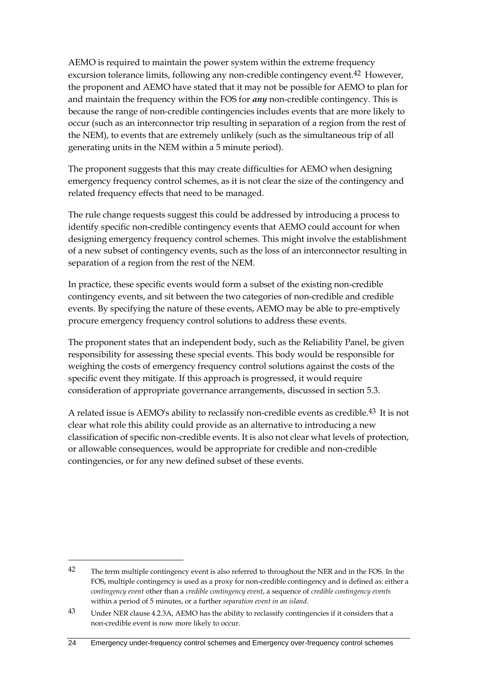AEMO is required to maintain the power system within the extreme frequency excursion tolerance limits, following any non-credible contingency event.<sup>42</sup> However, the proponent and AEMO have stated that it may not be possible for AEMO to plan for and maintain the frequency within the FOS for *any* non-credible contingency. This is because the range of non-credible contingencies includes events that are more likely to occur (such as an interconnector trip resulting in separation of a region from the rest of the NEM), to events that are extremely unlikely (such as the simultaneous trip of all generating units in the NEM within a 5 minute period).

The proponent suggests that this may create difficulties for AEMO when designing emergency frequency control schemes, as it is not clear the size of the contingency and related frequency effects that need to be managed.

The rule change requests suggest this could be addressed by introducing a process to identify specific non-credible contingency events that AEMO could account for when designing emergency frequency control schemes. This might involve the establishment of a new subset of contingency events, such as the loss of an interconnector resulting in separation of a region from the rest of the NEM.

In practice, these specific events would form a subset of the existing non-credible contingency events, and sit between the two categories of non-credible and credible events. By specifying the nature of these events, AEMO may be able to pre-emptively procure emergency frequency control solutions to address these events.

The proponent states that an independent body, such as the Reliability Panel, be given responsibility for assessing these special events. This body would be responsible for weighing the costs of emergency frequency control solutions against the costs of the specific event they mitigate. If this approach is progressed, it would require consideration of appropriate governance arrangements, discussed in section [5.3.](#page-28-0)

A related issue is AEMO's ability to reclassify non-credible events as credible.<sup>43</sup> It is not clear what role this ability could provide as an alternative to introducing a new classification of specific non-credible events. It is also not clear what levels of protection, or allowable consequences, would be appropriate for credible and non-credible contingencies, or for any new defined subset of these events.

<u>.</u>

<sup>&</sup>lt;sup>42</sup> The term multiple contingency event is also referred to throughout the NER and in the FOS. In the FOS, multiple contingency is used as a proxy for non-credible contingency and is defined as: either a *contingency event* other than a *credible contingency event*, a sequence of *credible contingency events*  within a period of 5 minutes, or a further *separation event in an island*.

<sup>43</sup> Under NER clause 4.2.3A, AEMO has the ability to reclassify contingencies if it considers that a non-credible event is now more likely to occur.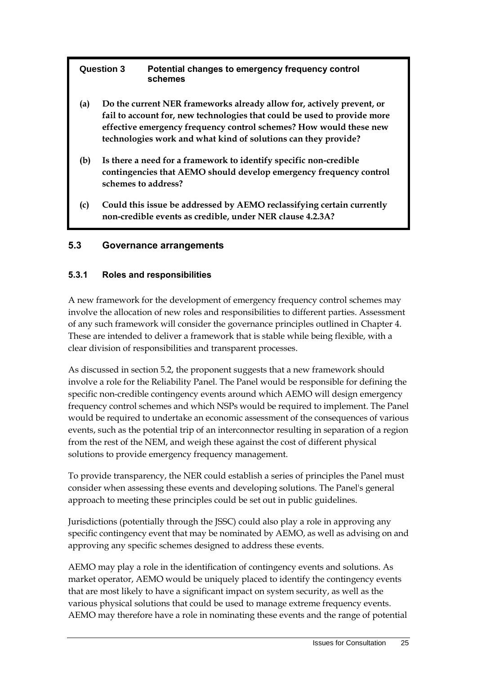| <b>Question 3</b> | Potential changes to emergency frequency control |
|-------------------|--------------------------------------------------|
|                   | schemes                                          |

- **(a) Do the current NER frameworks already allow for, actively prevent, or fail to account for, new technologies that could be used to provide more effective emergency frequency control schemes? How would these new technologies work and what kind of solutions can they provide?**
- **(b) Is there a need for a framework to identify specific non-credible contingencies that AEMO should develop emergency frequency control schemes to address?**
- **(c) Could this issue be addressed by AEMO reclassifying certain currently non-credible events as credible, under NER clause 4.2.3A?**

### <span id="page-28-0"></span>**5.3 Governance arrangements**

#### **5.3.1 Roles and responsibilities**

A new framework for the development of emergency frequency control schemes may involve the allocation of new roles and responsibilities to different parties. Assessment of any such framework will consider the governance principles outlined in Chapter [4.](#page-20-0) These are intended to deliver a framework that is stable while being flexible, with a clear division of responsibilities and transparent processes.

As discussed in section [5.2,](#page-26-0) the proponent suggests that a new framework should involve a role for the Reliability Panel. The Panel would be responsible for defining the specific non-credible contingency events around which AEMO will design emergency frequency control schemes and which NSPs would be required to implement. The Panel would be required to undertake an economic assessment of the consequences of various events, such as the potential trip of an interconnector resulting in separation of a region from the rest of the NEM, and weigh these against the cost of different physical solutions to provide emergency frequency management.

To provide transparency, the NER could establish a series of principles the Panel must consider when assessing these events and developing solutions. The Panel's general approach to meeting these principles could be set out in public guidelines.

Jurisdictions (potentially through the JSSC) could also play a role in approving any specific contingency event that may be nominated by AEMO, as well as advising on and approving any specific schemes designed to address these events.

AEMO may play a role in the identification of contingency events and solutions. As market operator, AEMO would be uniquely placed to identify the contingency events that are most likely to have a significant impact on system security, as well as the various physical solutions that could be used to manage extreme frequency events. AEMO may therefore have a role in nominating these events and the range of potential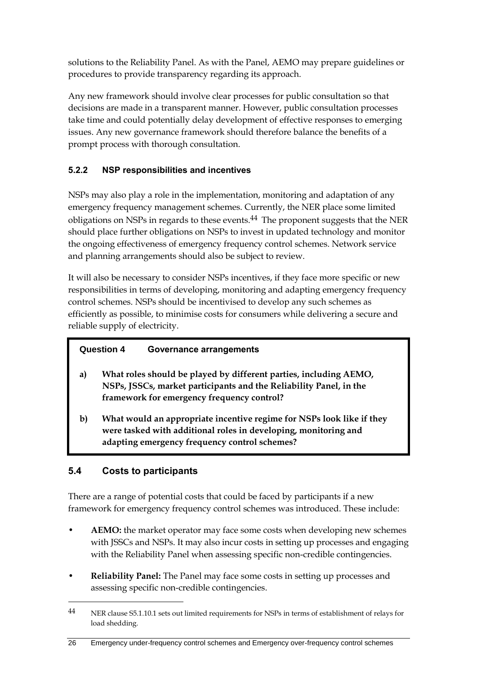solutions to the Reliability Panel. As with the Panel, AEMO may prepare guidelines or procedures to provide transparency regarding its approach.

Any new framework should involve clear processes for public consultation so that decisions are made in a transparent manner. However, public consultation processes take time and could potentially delay development of effective responses to emerging issues. Any new governance framework should therefore balance the benefits of a prompt process with thorough consultation.

### **5.2.2 NSP responsibilities and incentives**

NSPs may also play a role in the implementation, monitoring and adaptation of any emergency frequency management schemes. Currently, the NER place some limited obligations on NSPs in regards to these events.44 The proponent suggests that the NER should place further obligations on NSPs to invest in updated technology and monitor the ongoing effectiveness of emergency frequency control schemes. Network service and planning arrangements should also be subject to review.

It will also be necessary to consider NSPs incentives, if they face more specific or new responsibilities in terms of developing, monitoring and adapting emergency frequency control schemes. NSPs should be incentivised to develop any such schemes as efficiently as possible, to minimise costs for consumers while delivering a secure and reliable supply of electricity.

### **Question 4 Governance arrangements**

- **a) What roles should be played by different parties, including AEMO, NSPs, JSSCs, market participants and the Reliability Panel, in the framework for emergency frequency control?**
- **b) What would an appropriate incentive regime for NSPs look like if they were tasked with additional roles in developing, monitoring and adapting emergency frequency control schemes?**

### <span id="page-29-0"></span>**5.4 Costs to participants**

1

There are a range of potential costs that could be faced by participants if a new framework for emergency frequency control schemes was introduced. These include:

- **AEMO:** the market operator may face some costs when developing new schemes with JSSCs and NSPs. It may also incur costs in setting up processes and engaging with the Reliability Panel when assessing specific non-credible contingencies.
- **Reliability Panel:** The Panel may face some costs in setting up processes and assessing specific non-credible contingencies.

<sup>44</sup> NER clause S5.1.10.1 sets out limited requirements for NSPs in terms of establishment of relays for load shedding.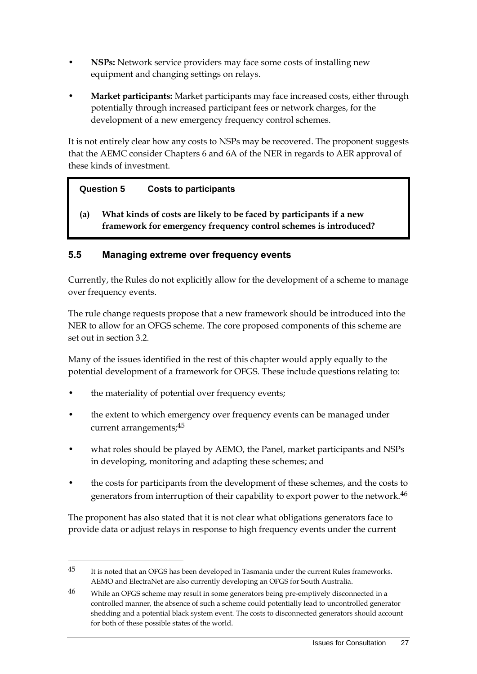- **NSPs:** Network service providers may face some costs of installing new equipment and changing settings on relays.
- **Market participants:** Market participants may face increased costs, either through potentially through increased participant fees or network charges, for the development of a new emergency frequency control schemes.

It is not entirely clear how any costs to NSPs may be recovered. The proponent suggests that the AEMC consider Chapters 6 and 6A of the NER in regards to AER approval of these kinds of investment.

### **Question 5 Costs to participants**

**(a) What kinds of costs are likely to be faced by participants if a new framework for emergency frequency control schemes is introduced?**

### <span id="page-30-0"></span>**5.5 Managing extreme over frequency events**

Currently, the Rules do not explicitly allow for the development of a scheme to manage over frequency events.

The rule change requests propose that a new framework should be introduced into the NER to allow for an OFGS scheme. The core proposed components of this scheme are set out in section [3.2.](#page-18-0)

Many of the issues identified in the rest of this chapter would apply equally to the potential development of a framework for OFGS. These include questions relating to:

the materiality of potential over frequency events;

<u>.</u>

- the extent to which emergency over frequency events can be managed under current arrangements;45
- what roles should be played by AEMO, the Panel, market participants and NSPs in developing, monitoring and adapting these schemes; and
- the costs for participants from the development of these schemes, and the costs to generators from interruption of their capability to export power to the network.46

The proponent has also stated that it is not clear what obligations generators face to provide data or adjust relays in response to high frequency events under the current

<sup>&</sup>lt;sup>45</sup> It is noted that an OFGS has been developed in Tasmania under the current Rules frameworks. AEMO and ElectraNet are also currently developing an OFGS for South Australia.

<sup>46</sup> While an OFGS scheme may result in some generators being pre-emptively disconnected in a controlled manner, the absence of such a scheme could potentially lead to uncontrolled generator shedding and a potential black system event. The costs to disconnected generators should account for both of these possible states of the world.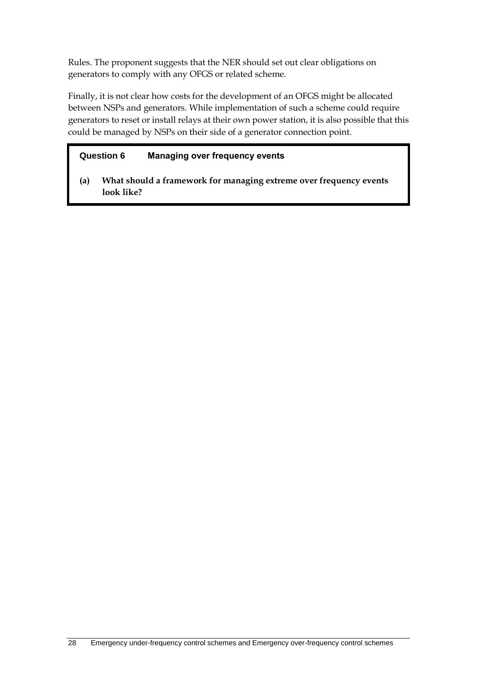Rules. The proponent suggests that the NER should set out clear obligations on generators to comply with any OFGS or related scheme.

Finally, it is not clear how costs for the development of an OFGS might be allocated between NSPs and generators. While implementation of such a scheme could require generators to reset or install relays at their own power station, it is also possible that this could be managed by NSPs on their side of a generator connection point.

### **Question 6 Managing over frequency events**

**(a) What should a framework for managing extreme over frequency events look like?**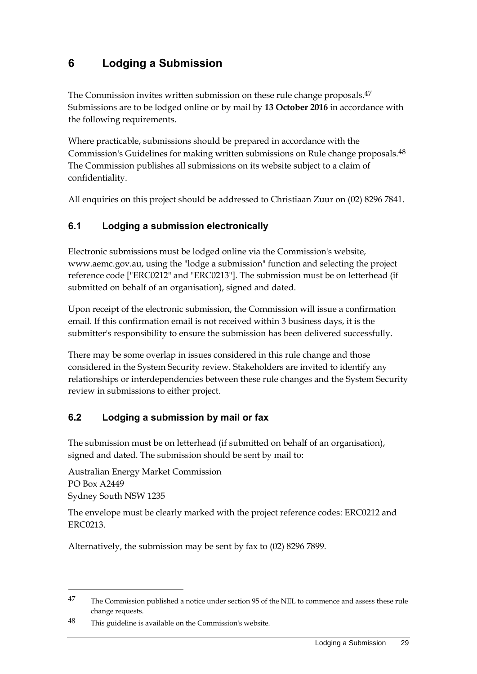# <span id="page-32-0"></span>**6 Lodging a Submission**

The Commission invites written submission on these rule change proposals. 47 Submissions are to be lodged online or by mail by **13 October 2016** in accordance with the following requirements.

Where practicable, submissions should be prepared in accordance with the Commission's Guidelines for making written submissions on Rule change proposals.48 The Commission publishes all submissions on its website subject to a claim of confidentiality.

All enquiries on this project should be addressed to Christiaan Zuur on (02) 8296 7841.

### <span id="page-32-1"></span>**6.1 Lodging a submission electronically**

Electronic submissions must be lodged online via the Commission's website, www.aemc.gov.au, using the "lodge a submission" function and selecting the project reference code ["ERC0212" and "ERC0213"]. The submission must be on letterhead (if submitted on behalf of an organisation), signed and dated.

Upon receipt of the electronic submission, the Commission will issue a confirmation email. If this confirmation email is not received within 3 business days, it is the submitter's responsibility to ensure the submission has been delivered successfully.

There may be some overlap in issues considered in this rule change and those considered in the System Security review. Stakeholders are invited to identify any relationships or interdependencies between these rule changes and the System Security review in submissions to either project.

### <span id="page-32-2"></span>**6.2 Lodging a submission by mail or fax**

The submission must be on letterhead (if submitted on behalf of an organisation), signed and dated. The submission should be sent by mail to:

Australian Energy Market Commission PO Box A2449 Sydney South NSW 1235

<u>.</u>

The envelope must be clearly marked with the project reference codes: ERC0212 and ERC0213.

Alternatively, the submission may be sent by fax to (02) 8296 7899.

<sup>&</sup>lt;sup>47</sup> The Commission published a notice under section 95 of the NEL to commence and assess these rule change requests.

<sup>48</sup> This guideline is available on the Commission's website.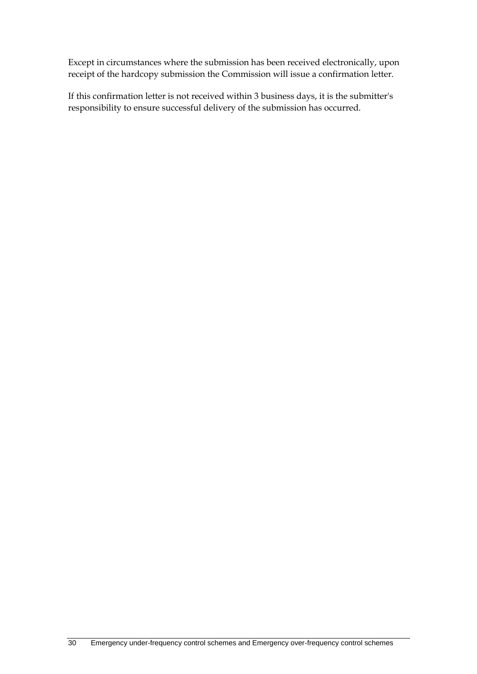Except in circumstances where the submission has been received electronically, upon receipt of the hardcopy submission the Commission will issue a confirmation letter.

If this confirmation letter is not received within 3 business days, it is the submitter's responsibility to ensure successful delivery of the submission has occurred.